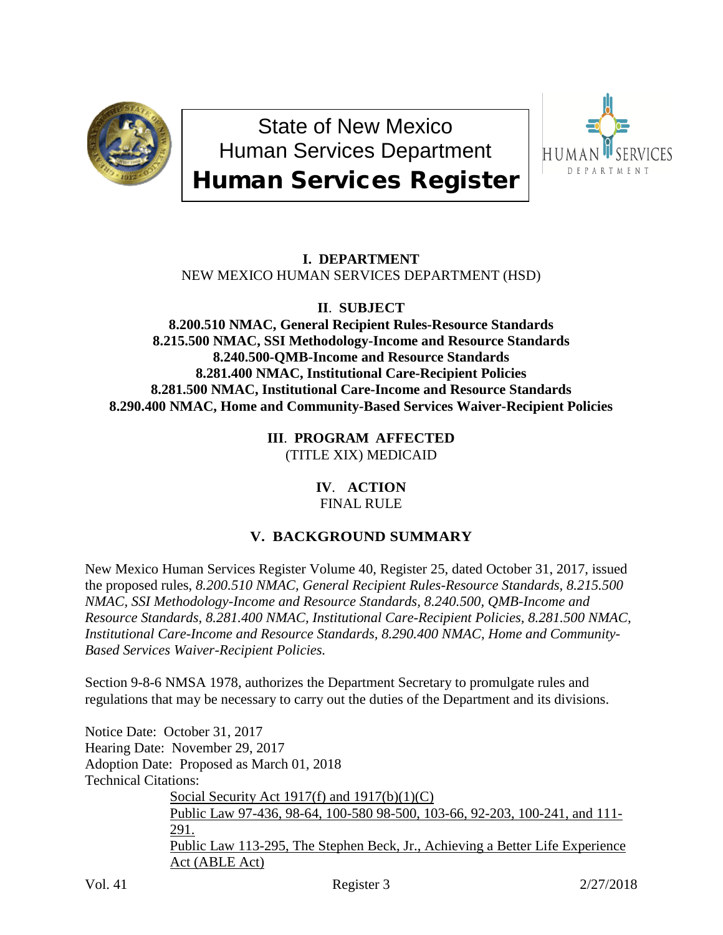

State of New Mexico Human Services Department Human Services Register



## **I. DEPARTMENT** NEW MEXICO HUMAN SERVICES DEPARTMENT (HSD)

**II**. **SUBJECT**

**8.200.510 NMAC, General Recipient Rules-Resource Standards 8.215.500 NMAC, SSI Methodology-Income and Resource Standards 8.240.500-QMB-Income and Resource Standards 8.281.400 NMAC, Institutional Care-Recipient Policies 8.281.500 NMAC, Institutional Care-Income and Resource Standards 8.290.400 NMAC, Home and Community-Based Services Waiver-Recipient Policies**

> **III**. **PROGRAM AFFECTED** (TITLE XIX) MEDICAID

## **IV**. **ACTION** FINAL RULE

# **V. BACKGROUND SUMMARY**

New Mexico Human Services Register Volume 40, Register 25, dated October 31, 2017, issued the proposed rules, *8.200.510 NMAC, General Recipient Rules-Resource Standards, 8.215.500 NMAC, SSI Methodology-Income and Resource Standards, 8.240.500, QMB-Income and Resource Standards, 8.281.400 NMAC, Institutional Care-Recipient Policies, 8.281.500 NMAC, Institutional Care-Income and Resource Standards, 8.290.400 NMAC, Home and Community-Based Services Waiver-Recipient Policies.*

Section 9-8-6 NMSA 1978, authorizes the Department Secretary to promulgate rules and regulations that may be necessary to carry out the duties of the Department and its divisions.

Notice Date: October 31, 2017 Hearing Date: November 29, 2017 Adoption Date: Proposed as March 01, 2018 Technical Citations: Social Security Act 1917(f) and 1917(b)(1)(C) Public Law 97-436, 98-64, 100-580 98-500, 103-66, 92-203, 100-241, and 111- 291. Public Law 113-295, The Stephen Beck, Jr., Achieving a Better Life Experience Act (ABLE Act)